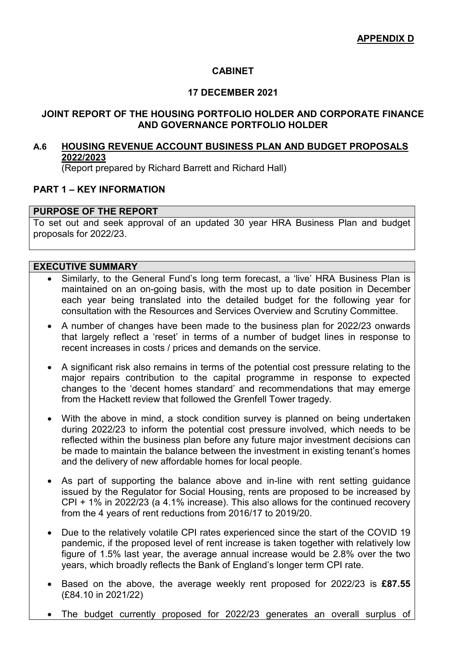# **CABINET**

### **17 DECEMBER 2021**

### **JOINT REPORT OF THE HOUSING PORTFOLIO HOLDER AND CORPORATE FINANCE AND GOVERNANCE PORTFOLIO HOLDER**

# **A.6 HOUSING REVENUE ACCOUNT BUSINESS PLAN AND BUDGET PROPOSALS 2022/2023**

(Report prepared by Richard Barrett and Richard Hall)

# **PART 1 – KEY INFORMATION**

# **PURPOSE OF THE REPORT**

To set out and seek approval of an updated 30 year HRA Business Plan and budget proposals for 2022/23.

#### **EXECUTIVE SUMMARY**

- Similarly, to the General Fund's long term forecast, a 'live' HRA Business Plan is maintained on an on-going basis, with the most up to date position in December each year being translated into the detailed budget for the following year for consultation with the Resources and Services Overview and Scrutiny Committee.
- A number of changes have been made to the business plan for 2022/23 onwards that largely reflect a 'reset' in terms of a number of budget lines in response to recent increases in costs / prices and demands on the service.
- A significant risk also remains in terms of the potential cost pressure relating to the major repairs contribution to the capital programme in response to expected changes to the 'decent homes standard' and recommendations that may emerge from the Hackett review that followed the Grenfell Tower tragedy.
- With the above in mind, a stock condition survey is planned on being undertaken during 2022/23 to inform the potential cost pressure involved, which needs to be reflected within the business plan before any future major investment decisions can be made to maintain the balance between the investment in existing tenant's homes and the delivery of new affordable homes for local people.
- As part of supporting the balance above and in-line with rent setting guidance issued by the Regulator for Social Housing, rents are proposed to be increased by CPI + 1% in 2022/23 (a 4.1% increase). This also allows for the continued recovery from the 4 years of rent reductions from 2016/17 to 2019/20.
- Due to the relatively volatile CPI rates experienced since the start of the COVID 19 pandemic, if the proposed level of rent increase is taken together with relatively low figure of 1.5% last year, the average annual increase would be 2.8% over the two years, which broadly reflects the Bank of England's longer term CPI rate.
- Based on the above, the average weekly rent proposed for 2022/23 is **£87.55**  (£84.10 in 2021/22)
- The budget currently proposed for 2022/23 generates an overall surplus of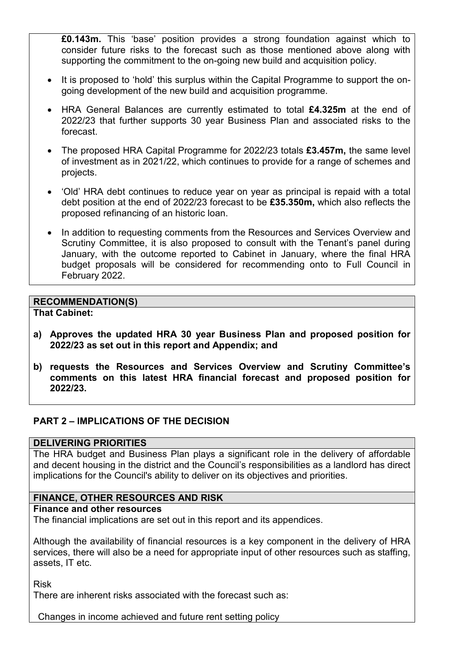**£0.143m.** This 'base' position provides a strong foundation against which to consider future risks to the forecast such as those mentioned above along with supporting the commitment to the on-going new build and acquisition policy.

- It is proposed to 'hold' this surplus within the Capital Programme to support the ongoing development of the new build and acquisition programme.
- HRA General Balances are currently estimated to total **£4.325m** at the end of 2022/23 that further supports 30 year Business Plan and associated risks to the forecast.
- The proposed HRA Capital Programme for 2022/23 totals **£3.457m,** the same level of investment as in 2021/22, which continues to provide for a range of schemes and projects.
- 'Old' HRA debt continues to reduce year on year as principal is repaid with a total debt position at the end of 2022/23 forecast to be **£35.350m,** which also reflects the proposed refinancing of an historic loan.
- In addition to requesting comments from the Resources and Services Overview and Scrutiny Committee, it is also proposed to consult with the Tenant's panel during January, with the outcome reported to Cabinet in January, where the final HRA budget proposals will be considered for recommending onto to Full Council in February 2022.

### **RECOMMENDATION(S)**

**That Cabinet:** 

- **a) Approves the updated HRA 30 year Business Plan and proposed position for 2022/23 as set out in this report and Appendix; and**
- **b) requests the Resources and Services Overview and Scrutiny Committee's comments on this latest HRA financial forecast and proposed position for 2022/23.**

### **PART 2 – IMPLICATIONS OF THE DECISION**

#### **DELIVERING PRIORITIES**

The HRA budget and Business Plan plays a significant role in the delivery of affordable and decent housing in the district and the Council's responsibilities as a landlord has direct implications for the Council's ability to deliver on its objectives and priorities.

### **FINANCE, OTHER RESOURCES AND RISK**

#### **Finance and other resources**

The financial implications are set out in this report and its appendices.

Although the availability of financial resources is a key component in the delivery of HRA services, there will also be a need for appropriate input of other resources such as staffing. assets, IT etc.

Risk

There are inherent risks associated with the forecast such as:

Changes in income achieved and future rent setting policy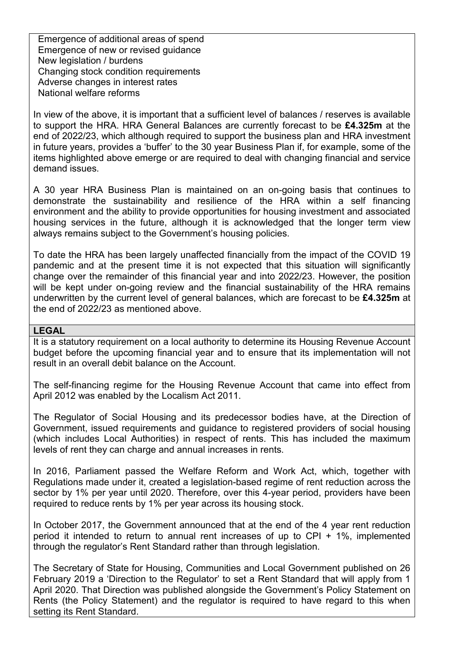Emergence of additional areas of spend Emergence of new or revised guidance New legislation / burdens Changing stock condition requirements Adverse changes in interest rates National welfare reforms

In view of the above, it is important that a sufficient level of balances / reserves is available to support the HRA. HRA General Balances are currently forecast to be **£4.325m** at the end of 2022/23, which although required to support the business plan and HRA investment in future years, provides a 'buffer' to the 30 year Business Plan if, for example, some of the items highlighted above emerge or are required to deal with changing financial and service demand issues.

A 30 year HRA Business Plan is maintained on an on-going basis that continues to demonstrate the sustainability and resilience of the HRA within a self financing environment and the ability to provide opportunities for housing investment and associated housing services in the future, although it is acknowledged that the longer term view always remains subject to the Government's housing policies.

To date the HRA has been largely unaffected financially from the impact of the COVID 19 pandemic and at the present time it is not expected that this situation will significantly change over the remainder of this financial year and into 2022/23. However, the position will be kept under on-going review and the financial sustainability of the HRA remains underwritten by the current level of general balances, which are forecast to be **£4.325m** at the end of 2022/23 as mentioned above.

#### **LEGAL**

It is a statutory requirement on a local authority to determine its Housing Revenue Account budget before the upcoming financial year and to ensure that its implementation will not result in an overall debit balance on the Account.

The self-financing regime for the Housing Revenue Account that came into effect from April 2012 was enabled by the Localism Act 2011.

The Regulator of Social Housing and its predecessor bodies have, at the Direction of Government, issued requirements and guidance to registered providers of social housing (which includes Local Authorities) in respect of rents. This has included the maximum levels of rent they can charge and annual increases in rents.

In 2016, Parliament passed the Welfare Reform and Work Act, which, together with Regulations made under it, created a legislation-based regime of rent reduction across the sector by 1% per year until 2020. Therefore, over this 4-year period, providers have been required to reduce rents by 1% per year across its housing stock.

In October 2017, the Government announced that at the end of the 4 year rent reduction period it intended to return to annual rent increases of up to CPI + 1%, implemented through the regulator's Rent Standard rather than through legislation.

The Secretary of State for Housing, Communities and Local Government published on 26 February 2019 a 'Direction to the Regulator' to set a Rent Standard that will apply from 1 April 2020. That Direction was published alongside the Government's Policy Statement on Rents (the Policy Statement) and the regulator is required to have regard to this when setting its Rent Standard.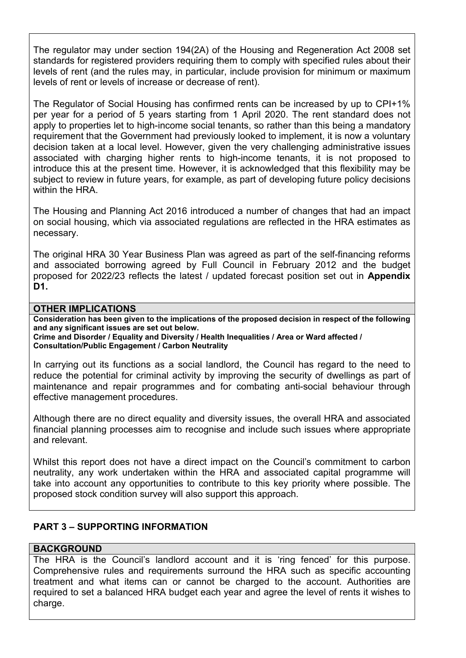The regulator may under section 194(2A) of the Housing and Regeneration Act 2008 set standards for registered providers requiring them to comply with specified rules about their levels of rent (and the rules may, in particular, include provision for minimum or maximum levels of rent or levels of increase or decrease of rent).

The Regulator of Social Housing has confirmed rents can be increased by up to CPI+1% per year for a period of 5 years starting from 1 April 2020. The rent standard does not apply to properties let to high-income social tenants, so rather than this being a mandatory requirement that the Government had previously looked to implement, it is now a voluntary decision taken at a local level. However, given the very challenging administrative issues associated with charging higher rents to high-income tenants, it is not proposed to introduce this at the present time. However, it is acknowledged that this flexibility may be subject to review in future years, for example, as part of developing future policy decisions within the HRA.

The Housing and Planning Act 2016 introduced a number of changes that had an impact on social housing, which via associated regulations are reflected in the HRA estimates as necessary.

The original HRA 30 Year Business Plan was agreed as part of the self-financing reforms and associated borrowing agreed by Full Council in February 2012 and the budget proposed for 2022/23 reflects the latest / updated forecast position set out in **Appendix D1.**

#### **OTHER IMPLICATIONS**

**Consideration has been given to the implications of the proposed decision in respect of the following and any significant issues are set out below.** 

**Crime and Disorder / Equality and Diversity / Health Inequalities / Area or Ward affected / Consultation/Public Engagement / Carbon Neutrality** 

In carrying out its functions as a social landlord, the Council has regard to the need to reduce the potential for criminal activity by improving the security of dwellings as part of maintenance and repair programmes and for combating anti-social behaviour through effective management procedures.

Although there are no direct equality and diversity issues, the overall HRA and associated financial planning processes aim to recognise and include such issues where appropriate and relevant.

Whilst this report does not have a direct impact on the Council's commitment to carbon neutrality, any work undertaken within the HRA and associated capital programme will take into account any opportunities to contribute to this key priority where possible. The proposed stock condition survey will also support this approach.

# **PART 3 – SUPPORTING INFORMATION**

### **BACKGROUND**

The HRA is the Council's landlord account and it is 'ring fenced' for this purpose. Comprehensive rules and requirements surround the HRA such as specific accounting treatment and what items can or cannot be charged to the account. Authorities are required to set a balanced HRA budget each year and agree the level of rents it wishes to charge.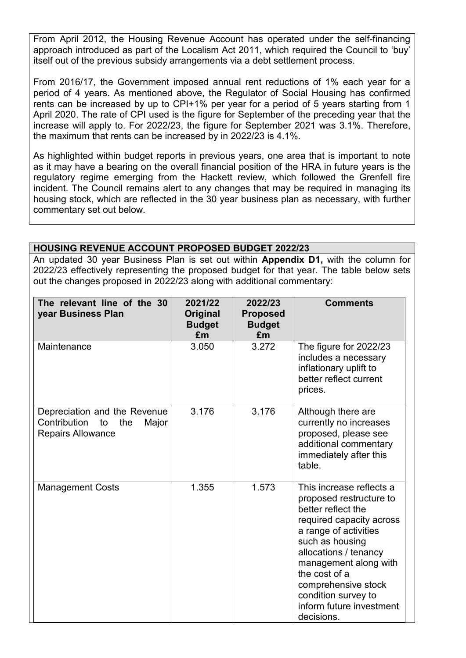From April 2012, the Housing Revenue Account has operated under the self-financing approach introduced as part of the Localism Act 2011, which required the Council to 'buy' itself out of the previous subsidy arrangements via a debt settlement process.

From 2016/17, the Government imposed annual rent reductions of 1% each year for a period of 4 years. As mentioned above, the Regulator of Social Housing has confirmed rents can be increased by up to CPI+1% per year for a period of 5 years starting from 1 April 2020. The rate of CPI used is the figure for September of the preceding year that the increase will apply to. For 2022/23, the figure for September 2021 was 3.1%. Therefore, the maximum that rents can be increased by in 2022/23 is 4.1%.

As highlighted within budget reports in previous years, one area that is important to note as it may have a bearing on the overall financial position of the HRA in future years is the regulatory regime emerging from the Hackett review, which followed the Grenfell fire incident. The Council remains alert to any changes that may be required in managing its housing stock, which are reflected in the 30 year business plan as necessary, with further commentary set out below.

### **HOUSING REVENUE ACCOUNT PROPOSED BUDGET 2022/23**

An updated 30 year Business Plan is set out within **Appendix D1,** with the column for 2022/23 effectively representing the proposed budget for that year. The table below sets out the changes proposed in 2022/23 along with additional commentary:

| The relevant line of the 30<br>year Business Plan                                              | 2021/22<br>Original<br><b>Budget</b><br>£m | 2022/23<br><b>Proposed</b><br><b>Budget</b><br>£m | <b>Comments</b>                                                                                                                                                                                                                                                                                              |
|------------------------------------------------------------------------------------------------|--------------------------------------------|---------------------------------------------------|--------------------------------------------------------------------------------------------------------------------------------------------------------------------------------------------------------------------------------------------------------------------------------------------------------------|
| Maintenance                                                                                    | 3.050                                      | 3.272                                             | The figure for 2022/23<br>includes a necessary<br>inflationary uplift to<br>better reflect current<br>prices.                                                                                                                                                                                                |
| Depreciation and the Revenue<br>Contribution<br>to<br>the<br>Major<br><b>Repairs Allowance</b> | 3.176                                      | 3.176                                             | Although there are<br>currently no increases<br>proposed, please see<br>additional commentary<br>immediately after this<br>table.                                                                                                                                                                            |
| <b>Management Costs</b>                                                                        | 1.355                                      | 1.573                                             | This increase reflects a<br>proposed restructure to<br>better reflect the<br>required capacity across<br>a range of activities<br>such as housing<br>allocations / tenancy<br>management along with<br>the cost of a<br>comprehensive stock<br>condition survey to<br>inform future investment<br>decisions. |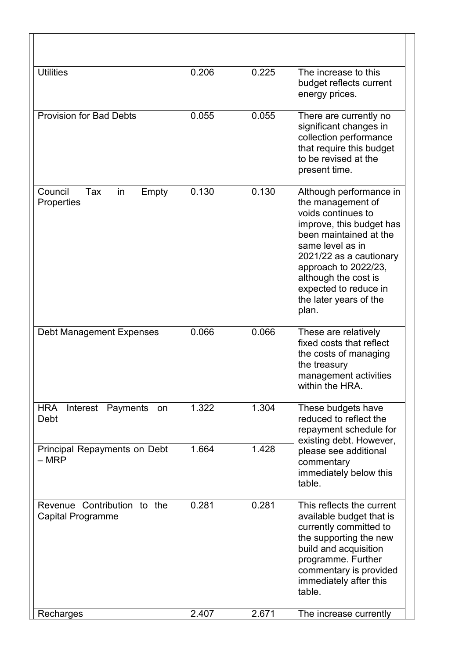| <b>Utilities</b>                                 | 0.206 | 0.225 | The increase to this<br>budget reflects current<br>energy prices.                                                                                                                                                                                                                   |  |  |  |
|--------------------------------------------------|-------|-------|-------------------------------------------------------------------------------------------------------------------------------------------------------------------------------------------------------------------------------------------------------------------------------------|--|--|--|
| <b>Provision for Bad Debts</b>                   | 0.055 | 0.055 | There are currently no<br>significant changes in<br>collection performance<br>that require this budget<br>to be revised at the<br>present time.                                                                                                                                     |  |  |  |
| Council<br>Tax<br>in<br>Empty<br>Properties      | 0.130 | 0.130 | Although performance in<br>the management of<br>voids continues to<br>improve, this budget has<br>been maintained at the<br>same level as in<br>2021/22 as a cautionary<br>approach to 2022/23,<br>although the cost is<br>expected to reduce in<br>the later years of the<br>plan. |  |  |  |
| <b>Debt Management Expenses</b>                  | 0.066 | 0.066 | These are relatively<br>fixed costs that reflect<br>the costs of managing<br>the treasury<br>management activities<br>within the HRA.                                                                                                                                               |  |  |  |
| <b>HRA</b><br>Interest<br>Payments<br>on<br>Debt | 1.322 | 1.304 | These budgets have<br>reduced to reflect the<br>repayment schedule for<br>existing debt. However,                                                                                                                                                                                   |  |  |  |
| Principal Repayments on Debt<br>$-$ MRP          | 1.664 | 1.428 | please see additional<br>commentary<br>immediately below this<br>table.                                                                                                                                                                                                             |  |  |  |
| Revenue Contribution to the<br>Capital Programme | 0.281 | 0.281 | This reflects the current<br>available budget that is<br>currently committed to<br>the supporting the new<br>build and acquisition<br>programme. Further<br>commentary is provided<br>immediately after this<br>table.                                                              |  |  |  |
| Recharges                                        | 2.407 | 2.671 | The increase currently                                                                                                                                                                                                                                                              |  |  |  |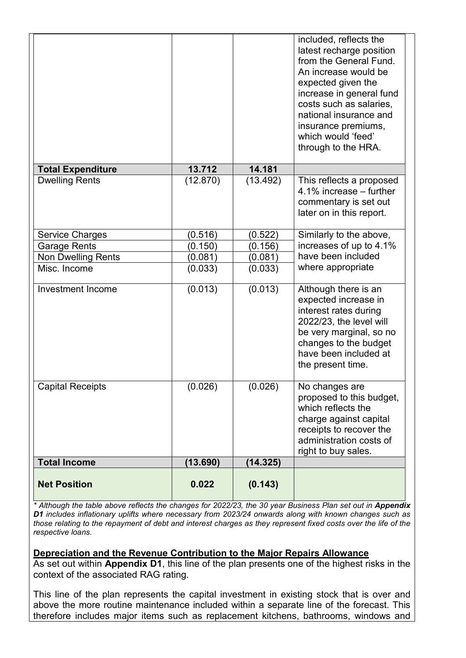|                           |          |          | included, reflects the<br>latest recharge position<br>from the General Fund.<br>An increase would be<br>expected given the<br>increase in general fund<br>costs such as salaries,<br>national insurance and<br>insurance premiums,<br>which would 'feed'<br>through to the HRA. |
|---------------------------|----------|----------|---------------------------------------------------------------------------------------------------------------------------------------------------------------------------------------------------------------------------------------------------------------------------------|
| <b>Total Expenditure</b>  | 13.712   | 14.181   |                                                                                                                                                                                                                                                                                 |
| <b>Dwelling Rents</b>     | (12.870) | (13.492) | This reflects a proposed<br>4.1% increase – further<br>commentary is set out<br>later on in this report.                                                                                                                                                                        |
| <b>Service Charges</b>    | (0.516)  | (0.522)  | Similarly to the above,                                                                                                                                                                                                                                                         |
| <b>Garage Rents</b>       | (0.150)  | (0.156)  | increases of up to 4.1%                                                                                                                                                                                                                                                         |
| <b>Non Dwelling Rents</b> | (0.081)  | (0.081)  | have been included                                                                                                                                                                                                                                                              |
| Misc. Income              | (0.033)  | (0.033)  | where appropriate                                                                                                                                                                                                                                                               |
| Investment Income         | (0.013)  | (0.013)  | Although there is an<br>expected increase in<br>interest rates during<br>2022/23, the level will<br>be very marginal, so no<br>changes to the budget<br>have been included at<br>the present time.                                                                              |
| <b>Capital Receipts</b>   | (0.026)  | (0.026)  | No changes are<br>proposed to this budget,<br>which reflects the<br>charge against capital<br>receipts to recover the<br>administration costs of<br>right to buy sales.                                                                                                         |
| <b>Total Income</b>       | (13.690) | (14.325) |                                                                                                                                                                                                                                                                                 |
| <b>Net Position</b>       | 0.022    | (0.143)  |                                                                                                                                                                                                                                                                                 |

\* Although the table above reflects the changes for 2022/23, the 30 year Business Plan set out in **Appendix** *D1 includes inflationary uplifts where necessary from 2023/24 onwards along with known changes such as*  those relating to the repayment of debt and interest charges as they represent fixed costs over the life of the *respective loans.* 

### **Depreciation and the Revenue Contribution to the Major Repairs Allowance**

As set out within **Appendix D1**, this line of the plan presents one of the highest risks in the context of the associated RAG rating.

This line of the plan represents the capital investment in existing stock that is over and above the more routine maintenance included within a separate line of the forecast. This therefore includes major items such as replacement kitchens, bathrooms, windows and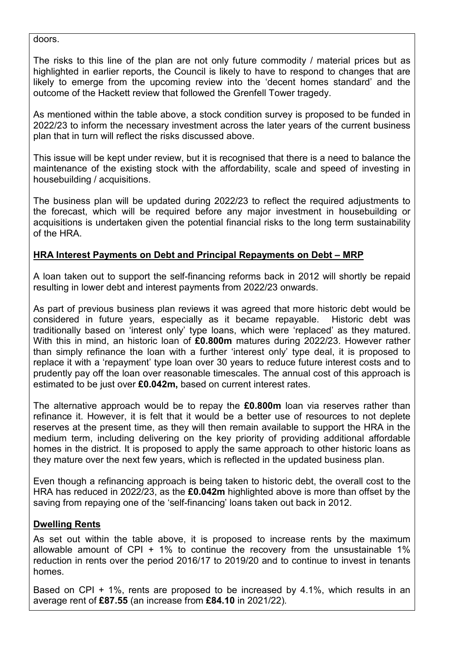doors.

The risks to this line of the plan are not only future commodity / material prices but as highlighted in earlier reports, the Council is likely to have to respond to changes that are likely to emerge from the upcoming review into the 'decent homes standard' and the outcome of the Hackett review that followed the Grenfell Tower tragedy.

As mentioned within the table above, a stock condition survey is proposed to be funded in 2022/23 to inform the necessary investment across the later years of the current business plan that in turn will reflect the risks discussed above.

This issue will be kept under review, but it is recognised that there is a need to balance the maintenance of the existing stock with the affordability, scale and speed of investing in housebuilding / acquisitions.

The business plan will be updated during 2022/23 to reflect the required adjustments to the forecast, which will be required before any major investment in housebuilding or acquisitions is undertaken given the potential financial risks to the long term sustainability of the HRA.

# **HRA Interest Payments on Debt and Principal Repayments on Debt – MRP**

A loan taken out to support the self-financing reforms back in 2012 will shortly be repaid resulting in lower debt and interest payments from 2022/23 onwards.

As part of previous business plan reviews it was agreed that more historic debt would be considered in future years, especially as it became repayable. Historic debt was traditionally based on 'interest only' type loans, which were 'replaced' as they matured. With this in mind, an historic loan of **£0.800m** matures during 2022/23. However rather than simply refinance the loan with a further 'interest only' type deal, it is proposed to replace it with a 'repayment' type loan over 30 years to reduce future interest costs and to prudently pay off the loan over reasonable timescales. The annual cost of this approach is estimated to be just over **£0.042m,** based on current interest rates.

The alternative approach would be to repay the **£0.800m** loan via reserves rather than refinance it. However, it is felt that it would be a better use of resources to not deplete reserves at the present time, as they will then remain available to support the HRA in the medium term, including delivering on the key priority of providing additional affordable homes in the district. It is proposed to apply the same approach to other historic loans as they mature over the next few years, which is reflected in the updated business plan.

Even though a refinancing approach is being taken to historic debt, the overall cost to the HRA has reduced in 2022/23, as the **£0.042m** highlighted above is more than offset by the saving from repaying one of the 'self-financing' loans taken out back in 2012.

# **Dwelling Rents**

As set out within the table above, it is proposed to increase rents by the maximum allowable amount of CPI  $+$  1% to continue the recovery from the unsustainable 1% reduction in rents over the period 2016/17 to 2019/20 and to continue to invest in tenants homes.

Based on CPI + 1%, rents are proposed to be increased by 4.1%, which results in an average rent of **£87.55** (an increase from **£84.10** in 2021/22)*.*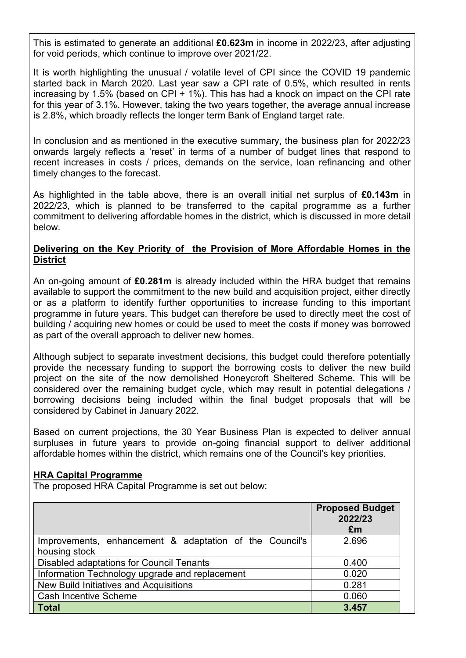This is estimated to generate an additional **£0.623m** in income in 2022/23, after adjusting for void periods, which continue to improve over 2021/22.

It is worth highlighting the unusual / volatile level of CPI since the COVID 19 pandemic started back in March 2020. Last year saw a CPI rate of 0.5%, which resulted in rents increasing by 1.5% (based on CPI  $+$  1%). This has had a knock on impact on the CPI rate for this year of 3.1%. However, taking the two years together, the average annual increase is 2.8%, which broadly reflects the longer term Bank of England target rate.

In conclusion and as mentioned in the executive summary, the business plan for 2022/23 onwards largely reflects a 'reset' in terms of a number of budget lines that respond to recent increases in costs / prices, demands on the service, loan refinancing and other timely changes to the forecast.

As highlighted in the table above, there is an overall initial net surplus of **£0.143m** in 2022/23, which is planned to be transferred to the capital programme as a further commitment to delivering affordable homes in the district, which is discussed in more detail below.

# **Delivering on the Key Priority of the Provision of More Affordable Homes in the District**

An on-going amount of **£0.281m** is already included within the HRA budget that remains available to support the commitment to the new build and acquisition project, either directly or as a platform to identify further opportunities to increase funding to this important programme in future years. This budget can therefore be used to directly meet the cost of building / acquiring new homes or could be used to meet the costs if money was borrowed as part of the overall approach to deliver new homes.

Although subject to separate investment decisions, this budget could therefore potentially provide the necessary funding to support the borrowing costs to deliver the new build project on the site of the now demolished Honeycroft Sheltered Scheme. This will be considered over the remaining budget cycle, which may result in potential delegations / borrowing decisions being included within the final budget proposals that will be considered by Cabinet in January 2022.

Based on current projections, the 30 Year Business Plan is expected to deliver annual surpluses in future years to provide on-going financial support to deliver additional affordable homes within the district, which remains one of the Council's key priorities.

### **HRA Capital Programme**

The proposed HRA Capital Programme is set out below:

|                                                         | <b>Proposed Budget</b><br>2022/23<br>£m |
|---------------------------------------------------------|-----------------------------------------|
| Improvements, enhancement & adaptation of the Council's | 2.696                                   |
| housing stock                                           |                                         |
| <b>Disabled adaptations for Council Tenants</b>         | 0.400                                   |
| Information Technology upgrade and replacement          | 0.020                                   |
| <b>New Build Initiatives and Acquisitions</b>           | 0.281                                   |
| <b>Cash Incentive Scheme</b>                            | 0.060                                   |
| <b>Total</b>                                            | 3.457                                   |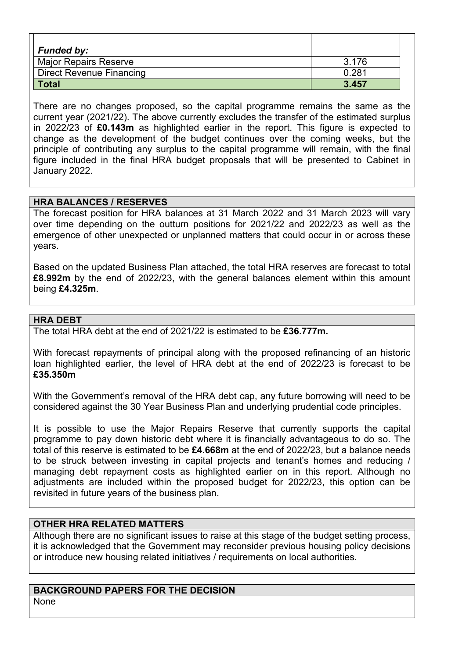| <b>Funded by:</b>               |       |
|---------------------------------|-------|
| <b>Major Repairs Reserve</b>    | 3.176 |
| <b>Direct Revenue Financing</b> | 0.281 |
| <b>Total</b>                    | 3.457 |

There are no changes proposed, so the capital programme remains the same as the current year (2021/22). The above currently excludes the transfer of the estimated surplus in 2022/23 of **£0.143m** as highlighted earlier in the report. This figure is expected to change as the development of the budget continues over the coming weeks, but the principle of contributing any surplus to the capital programme will remain, with the final figure included in the final HRA budget proposals that will be presented to Cabinet in January 2022.

# **HRA BALANCES / RESERVES**

The forecast position for HRA balances at 31 March 2022 and 31 March 2023 will vary over time depending on the outturn positions for 2021/22 and 2022/23 as well as the emergence of other unexpected or unplanned matters that could occur in or across these years.

Based on the updated Business Plan attached, the total HRA reserves are forecast to total **£8.992m** by the end of 2022/23, with the general balances element within this amount being **£4.325m**.

### **HRA DEBT**

The total HRA debt at the end of 2021/22 is estimated to be **£36.777m.** 

With forecast repayments of principal along with the proposed refinancing of an historic loan highlighted earlier, the level of HRA debt at the end of 2022/23 is forecast to be **£35.350m** 

With the Government's removal of the HRA debt cap, any future borrowing will need to be considered against the 30 Year Business Plan and underlying prudential code principles.

It is possible to use the Major Repairs Reserve that currently supports the capital programme to pay down historic debt where it is financially advantageous to do so. The total of this reserve is estimated to be **£4.668m** at the end of 2022/23, but a balance needs to be struck between investing in capital projects and tenant's homes and reducing / managing debt repayment costs as highlighted earlier on in this report. Although no adjustments are included within the proposed budget for 2022/23, this option can be revisited in future years of the business plan.

### **OTHER HRA RELATED MATTERS**

Although there are no significant issues to raise at this stage of the budget setting process, it is acknowledged that the Government may reconsider previous housing policy decisions or introduce new housing related initiatives / requirements on local authorities.

#### **BACKGROUND PAPERS FOR THE DECISION**  None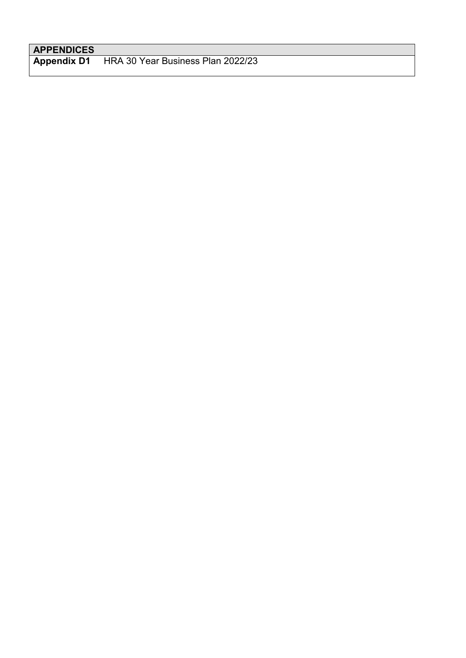# **APPENDICES**

**Appendix D1** HRA 30 Year Business Plan 2022/23